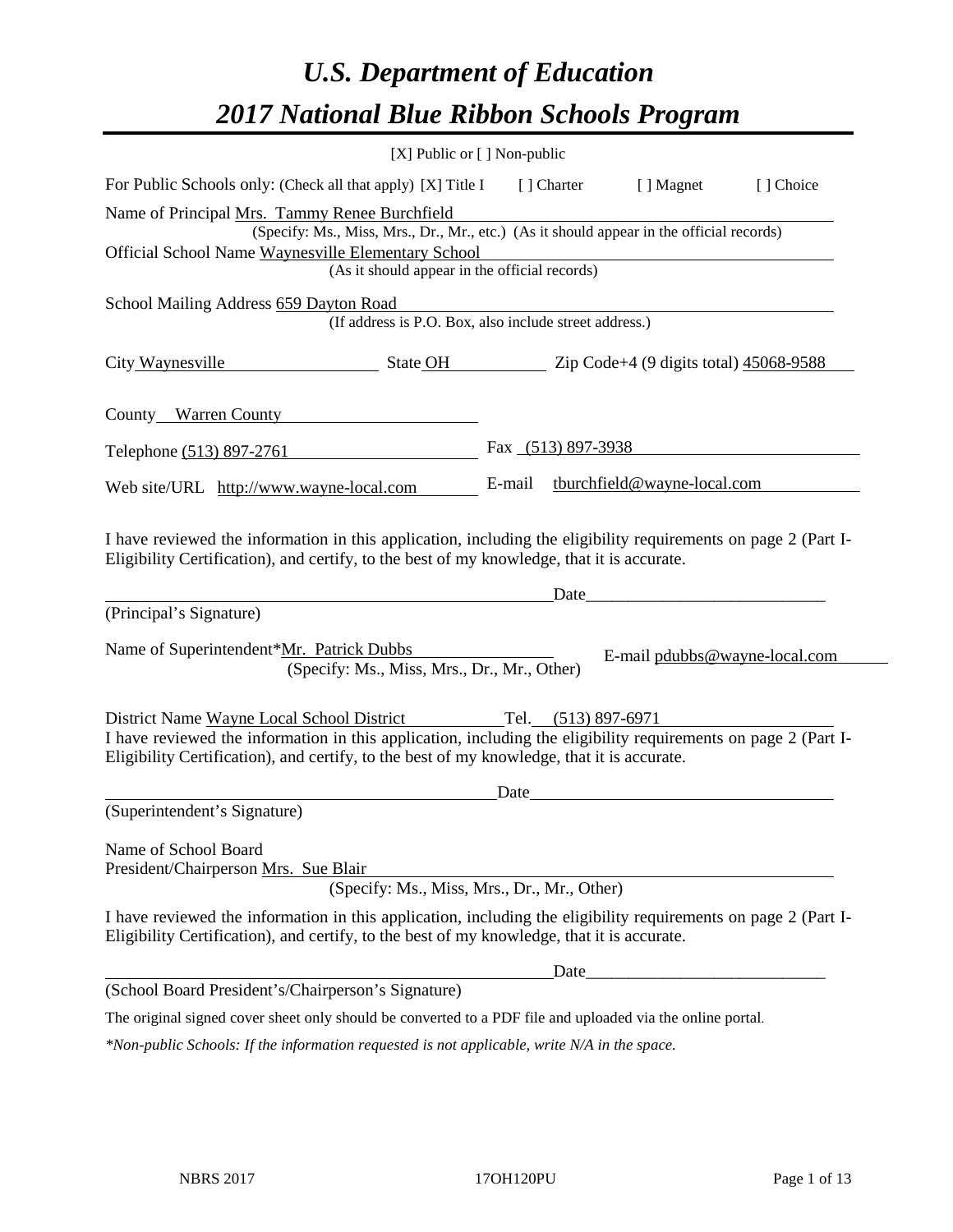# *U.S. Department of Education 2017 National Blue Ribbon Schools Program*

| [X] Public or [] Non-public                                                                                                                                                                                  |        |                    |                               |           |
|--------------------------------------------------------------------------------------------------------------------------------------------------------------------------------------------------------------|--------|--------------------|-------------------------------|-----------|
| For Public Schools only: (Check all that apply) [X] Title I                                                                                                                                                  |        | [ ] Charter        | [ ] Magnet                    | [] Choice |
| Name of Principal Mrs. Tammy Renee Burchfield                                                                                                                                                                |        |                    |                               |           |
| (Specify: Ms., Miss, Mrs., Dr., Mr., etc.) (As it should appear in the official records)                                                                                                                     |        |                    |                               |           |
| Official School Name Waynesville Elementary School<br>(As it should appear in the official records)                                                                                                          |        |                    |                               |           |
|                                                                                                                                                                                                              |        |                    |                               |           |
| School Mailing Address 659 Dayton Road<br>(If address is P.O. Box, also include street address.)                                                                                                             |        |                    |                               |           |
| City Waynesville<br>State OH Zip Code+4 (9 digits total) 45068-9588                                                                                                                                          |        |                    |                               |           |
| County Warren County                                                                                                                                                                                         |        |                    |                               |           |
| Telephone (513) 897-2761                                                                                                                                                                                     |        | Fax (513) 897-3938 |                               |           |
| Web site/URL http://www.wayne-local.com                                                                                                                                                                      | E-mail |                    | tburchfield@wayne-local.com   |           |
| Eligibility Certification), and certify, to the best of my knowledge, that it is accurate.<br>(Principal's Signature)                                                                                        |        | Date               |                               |           |
| Name of Superintendent*Mr. Patrick Dubbs<br>(Specify: Ms., Miss, Mrs., Dr., Mr., Other)                                                                                                                      |        |                    | E-mail pdubbs@wayne-local.com |           |
| District Name Wayne Local School District Tel. (513) 897-6971                                                                                                                                                |        |                    |                               |           |
| I have reviewed the information in this application, including the eligibility requirements on page 2 (Part I-<br>Eligibility Certification), and certify, to the best of my knowledge, that it is accurate. |        |                    |                               |           |
|                                                                                                                                                                                                              | Date   |                    |                               |           |
| (Superintendent's Signature)                                                                                                                                                                                 |        |                    |                               |           |
| Name of School Board<br>President/Chairperson Mrs. Sue Blair                                                                                                                                                 |        |                    |                               |           |
| (Specify: Ms., Miss, Mrs., Dr., Mr., Other)                                                                                                                                                                  |        |                    |                               |           |
| I have reviewed the information in this application, including the eligibility requirements on page 2 (Part I-<br>Eligibility Certification), and certify, to the best of my knowledge, that it is accurate. |        |                    |                               |           |
|                                                                                                                                                                                                              |        | Date_              |                               |           |
| (School Board President's/Chairperson's Signature)                                                                                                                                                           |        |                    |                               |           |
| The original signed cover sheet only should be converted to a PDF file and uploaded via the online portal.                                                                                                   |        |                    |                               |           |
| *Non-public Schools: If the information requested is not applicable, write N/A in the space.                                                                                                                 |        |                    |                               |           |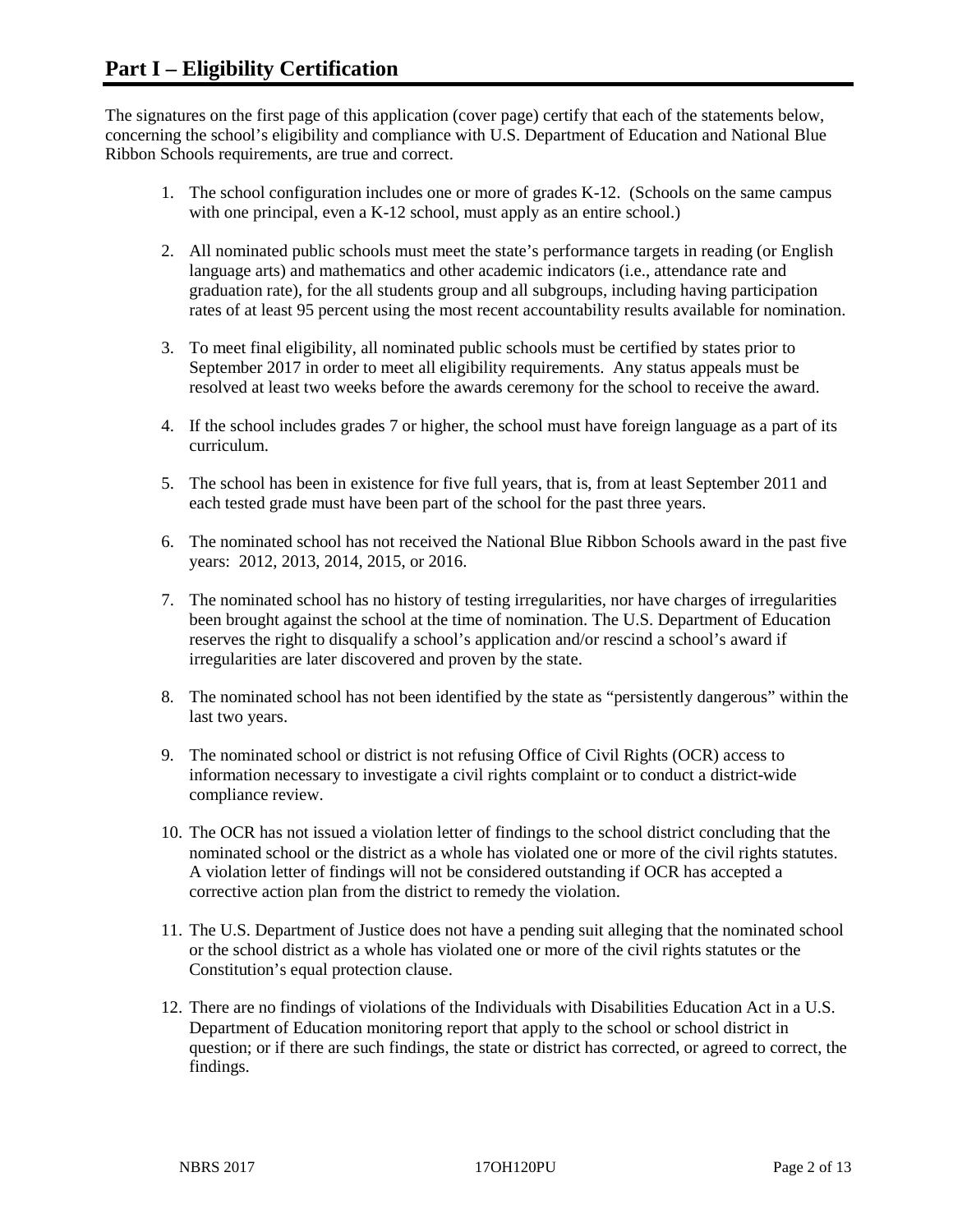The signatures on the first page of this application (cover page) certify that each of the statements below, concerning the school's eligibility and compliance with U.S. Department of Education and National Blue Ribbon Schools requirements, are true and correct.

- 1. The school configuration includes one or more of grades K-12. (Schools on the same campus with one principal, even a K-12 school, must apply as an entire school.)
- 2. All nominated public schools must meet the state's performance targets in reading (or English language arts) and mathematics and other academic indicators (i.e., attendance rate and graduation rate), for the all students group and all subgroups, including having participation rates of at least 95 percent using the most recent accountability results available for nomination.
- 3. To meet final eligibility, all nominated public schools must be certified by states prior to September 2017 in order to meet all eligibility requirements. Any status appeals must be resolved at least two weeks before the awards ceremony for the school to receive the award.
- 4. If the school includes grades 7 or higher, the school must have foreign language as a part of its curriculum.
- 5. The school has been in existence for five full years, that is, from at least September 2011 and each tested grade must have been part of the school for the past three years.
- 6. The nominated school has not received the National Blue Ribbon Schools award in the past five years: 2012, 2013, 2014, 2015, or 2016.
- 7. The nominated school has no history of testing irregularities, nor have charges of irregularities been brought against the school at the time of nomination. The U.S. Department of Education reserves the right to disqualify a school's application and/or rescind a school's award if irregularities are later discovered and proven by the state.
- 8. The nominated school has not been identified by the state as "persistently dangerous" within the last two years.
- 9. The nominated school or district is not refusing Office of Civil Rights (OCR) access to information necessary to investigate a civil rights complaint or to conduct a district-wide compliance review.
- 10. The OCR has not issued a violation letter of findings to the school district concluding that the nominated school or the district as a whole has violated one or more of the civil rights statutes. A violation letter of findings will not be considered outstanding if OCR has accepted a corrective action plan from the district to remedy the violation.
- 11. The U.S. Department of Justice does not have a pending suit alleging that the nominated school or the school district as a whole has violated one or more of the civil rights statutes or the Constitution's equal protection clause.
- 12. There are no findings of violations of the Individuals with Disabilities Education Act in a U.S. Department of Education monitoring report that apply to the school or school district in question; or if there are such findings, the state or district has corrected, or agreed to correct, the findings.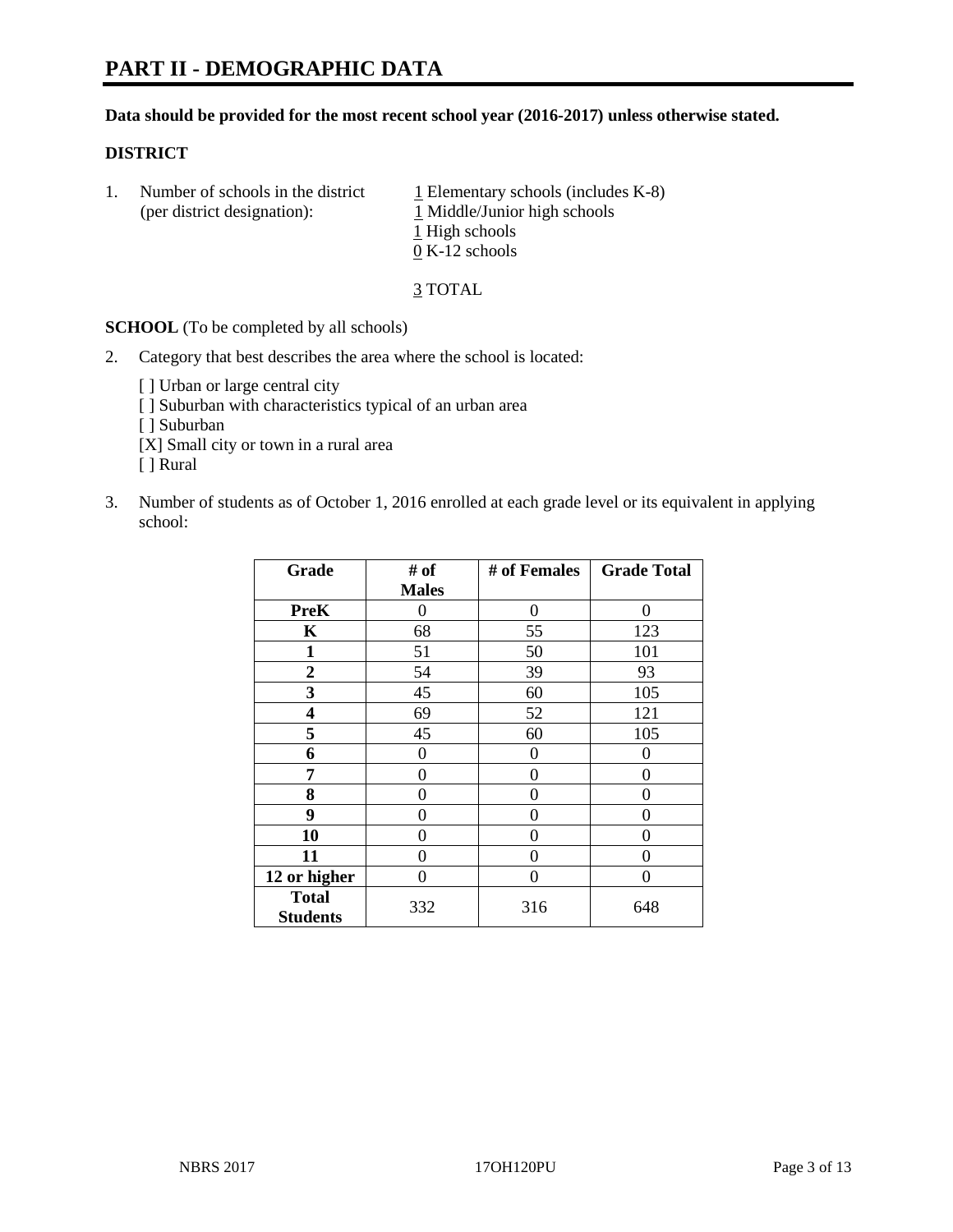# **Data should be provided for the most recent school year (2016-2017) unless otherwise stated.**

# **DISTRICT**

1. Number of schools in the district  $1$  Elementary schools (includes K-8) (per district designation): 1 Middle/Junior high schools 1 High schools 0 K-12 schools

3 TOTAL

**SCHOOL** (To be completed by all schools)

- 2. Category that best describes the area where the school is located:
	- [] Urban or large central city [ ] Suburban with characteristics typical of an urban area [ ] Suburban [X] Small city or town in a rural area [ ] Rural
- 3. Number of students as of October 1, 2016 enrolled at each grade level or its equivalent in applying school:

| Grade                           | # of         | # of Females | <b>Grade Total</b> |
|---------------------------------|--------------|--------------|--------------------|
|                                 | <b>Males</b> |              |                    |
| <b>PreK</b>                     | 0            | 0            | 0                  |
| $\mathbf K$                     | 68           | 55           | 123                |
| 1                               | 51           | 50           | 101                |
| $\overline{2}$                  | 54           | 39           | 93                 |
| 3                               | 45           | 60           | 105                |
| 4                               | 69           | 52           | 121                |
| 5                               | 45           | 60           | 105                |
| 6                               | 0            | 0            | $\mathbf{\Omega}$  |
| 7                               | 0            | 0            | 0                  |
| 8                               | 0            | 0            | 0                  |
| 9                               | 0            | 0            | 0                  |
| 10                              | 0            | 0            | 0                  |
| 11                              | 0            | 0            | $\mathbf{\Omega}$  |
| 12 or higher                    | 0            | 0            | 0                  |
| <b>Total</b><br><b>Students</b> | 332          | 316          | 648                |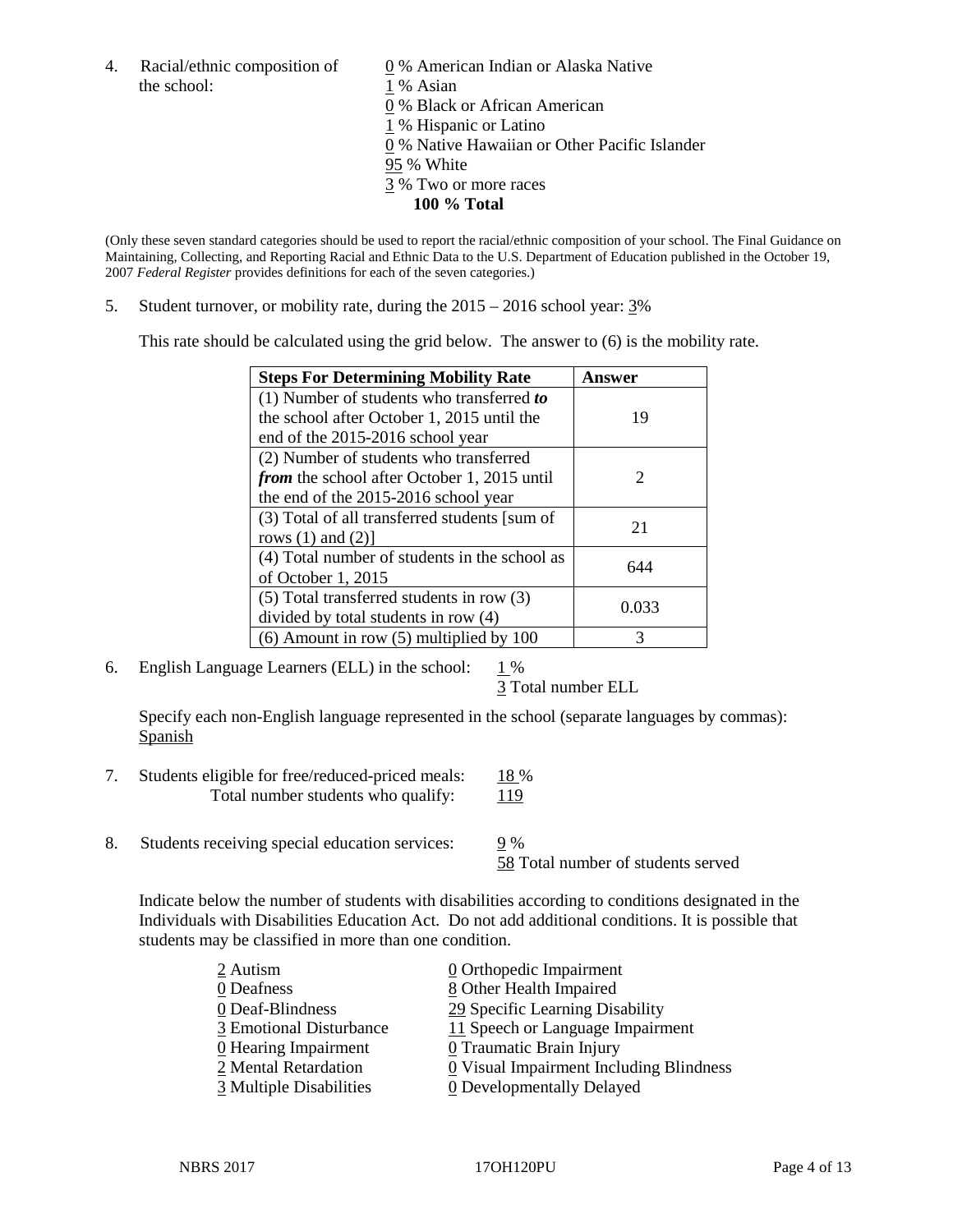4. Racial/ethnic composition of  $\qquad \qquad \underline{0}$  % American Indian or Alaska Native the school: 1 % Asian

 % Black or African American % Hispanic or Latino % Native Hawaiian or Other Pacific Islander 95 % White % Two or more races **100 % Total**

(Only these seven standard categories should be used to report the racial/ethnic composition of your school. The Final Guidance on Maintaining, Collecting, and Reporting Racial and Ethnic Data to the U.S. Department of Education published in the October 19, 2007 *Federal Register* provides definitions for each of the seven categories.)

5. Student turnover, or mobility rate, during the 2015 – 2016 school year: 3%

This rate should be calculated using the grid below. The answer to (6) is the mobility rate.

| <b>Steps For Determining Mobility Rate</b>    | Answer                      |  |
|-----------------------------------------------|-----------------------------|--|
| (1) Number of students who transferred to     |                             |  |
| the school after October 1, 2015 until the    | 19                          |  |
| end of the 2015-2016 school year              |                             |  |
| (2) Number of students who transferred        |                             |  |
| from the school after October 1, 2015 until   | $\mathcal{D}_{\mathcal{L}}$ |  |
| the end of the 2015-2016 school year          |                             |  |
| (3) Total of all transferred students [sum of | 21                          |  |
| rows $(1)$ and $(2)$ ]                        |                             |  |
| (4) Total number of students in the school as | 644                         |  |
| of October 1, 2015                            |                             |  |
| $(5)$ Total transferred students in row $(3)$ | 0.033                       |  |
| divided by total students in row (4)          |                             |  |
| $(6)$ Amount in row $(5)$ multiplied by 100   | 3                           |  |

6. English Language Learners (ELL) in the school:  $1\%$ 

3 Total number ELL

Specify each non-English language represented in the school (separate languages by commas): **Spanish** 

- 7. Students eligible for free/reduced-priced meals: 18 % Total number students who qualify: 119
- 8. Students receiving special education services: 9 %

58 Total number of students served

Indicate below the number of students with disabilities according to conditions designated in the Individuals with Disabilities Education Act. Do not add additional conditions. It is possible that students may be classified in more than one condition.

| 2 Autism                           | 0 Orthopedic Impairment                 |
|------------------------------------|-----------------------------------------|
| 0 Deafness                         | 8 Other Health Impaired                 |
| 0 Deaf-Blindness                   | 29 Specific Learning Disability         |
| 3 Emotional Disturbance            | 11 Speech or Language Impairment        |
| $\underline{0}$ Hearing Impairment | 0 Traumatic Brain Injury                |
| 2 Mental Retardation               | 0 Visual Impairment Including Blindness |
| 3 Multiple Disabilities            | <b>0</b> Developmentally Delayed        |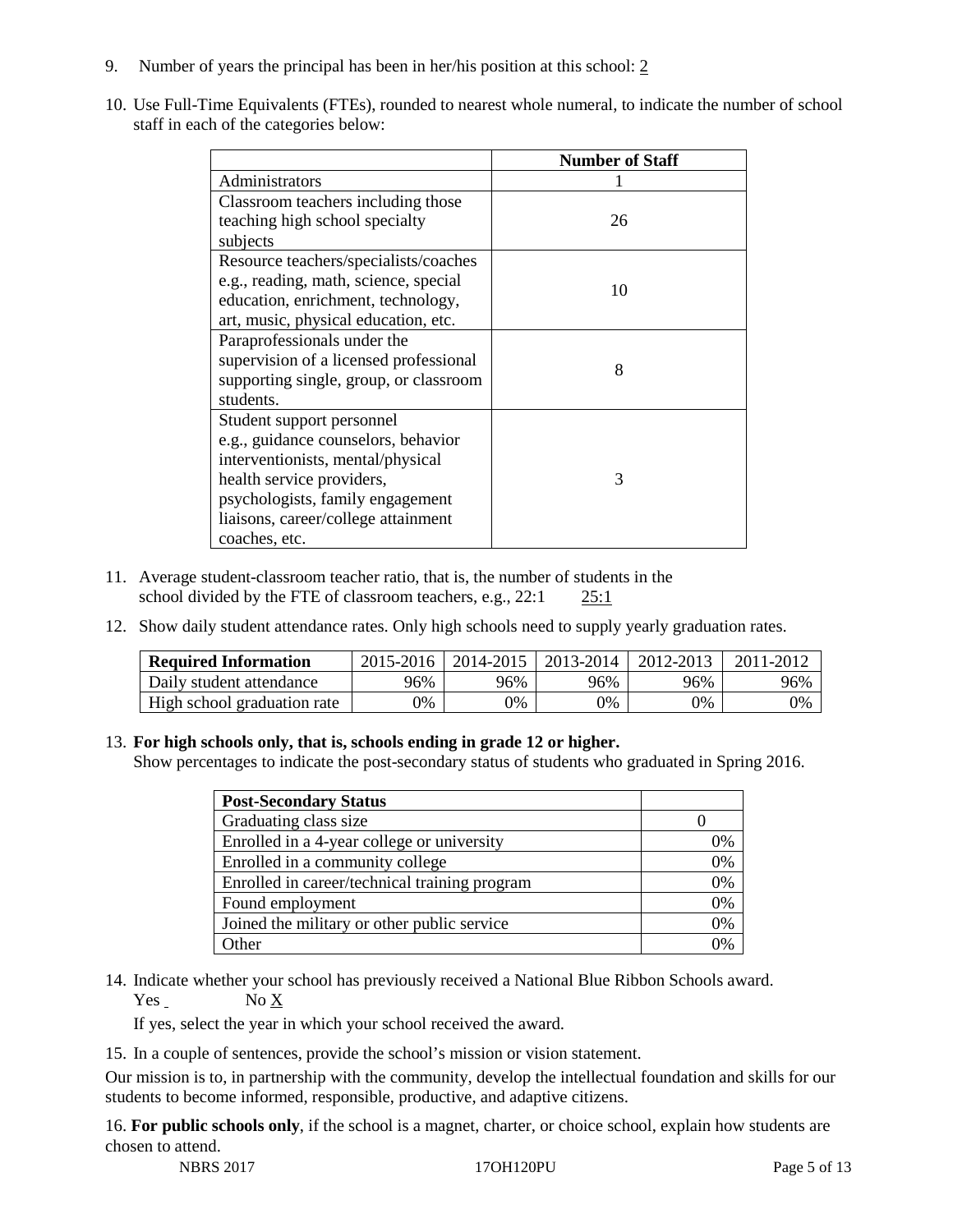- 9. Number of years the principal has been in her/his position at this school: 2
- 10. Use Full-Time Equivalents (FTEs), rounded to nearest whole numeral, to indicate the number of school staff in each of the categories below:

|                                        | <b>Number of Staff</b> |
|----------------------------------------|------------------------|
| Administrators                         |                        |
| Classroom teachers including those     |                        |
| teaching high school specialty         | 26                     |
| subjects                               |                        |
| Resource teachers/specialists/coaches  |                        |
| e.g., reading, math, science, special  | 10                     |
| education, enrichment, technology,     |                        |
| art, music, physical education, etc.   |                        |
| Paraprofessionals under the            |                        |
| supervision of a licensed professional | 8                      |
| supporting single, group, or classroom |                        |
| students.                              |                        |
| Student support personnel              |                        |
| e.g., guidance counselors, behavior    |                        |
| interventionists, mental/physical      |                        |
| health service providers,              | 3                      |
| psychologists, family engagement       |                        |
| liaisons, career/college attainment    |                        |
| coaches, etc.                          |                        |

- 11. Average student-classroom teacher ratio, that is, the number of students in the school divided by the FTE of classroom teachers, e.g., 22:1 25:1
- 12. Show daily student attendance rates. Only high schools need to supply yearly graduation rates.

| <b>Required Information</b> | 2015-2016 | 2014-2015 | 2013-2014 | 2012-2013 |     |
|-----------------------------|-----------|-----------|-----------|-----------|-----|
| Daily student attendance    | 96%       | 96%       | 96%       | 96%       | 96% |
| High school graduation rate | 0%        | 0%        | 0%        | 9%        | 0%  |

# 13. **For high schools only, that is, schools ending in grade 12 or higher.**

Show percentages to indicate the post-secondary status of students who graduated in Spring 2016.

| <b>Post-Secondary Status</b>                  |    |
|-----------------------------------------------|----|
| Graduating class size                         |    |
| Enrolled in a 4-year college or university    | 0% |
| Enrolled in a community college               | 0% |
| Enrolled in career/technical training program | 0% |
| Found employment                              | 0% |
| Joined the military or other public service   | 0% |
| )ther                                         |    |

14. Indicate whether your school has previously received a National Blue Ribbon Schools award. Yes No X

If yes, select the year in which your school received the award.

15. In a couple of sentences, provide the school's mission or vision statement.

Our mission is to, in partnership with the community, develop the intellectual foundation and skills for our students to become informed, responsible, productive, and adaptive citizens.

16. **For public schools only**, if the school is a magnet, charter, or choice school, explain how students are chosen to attend.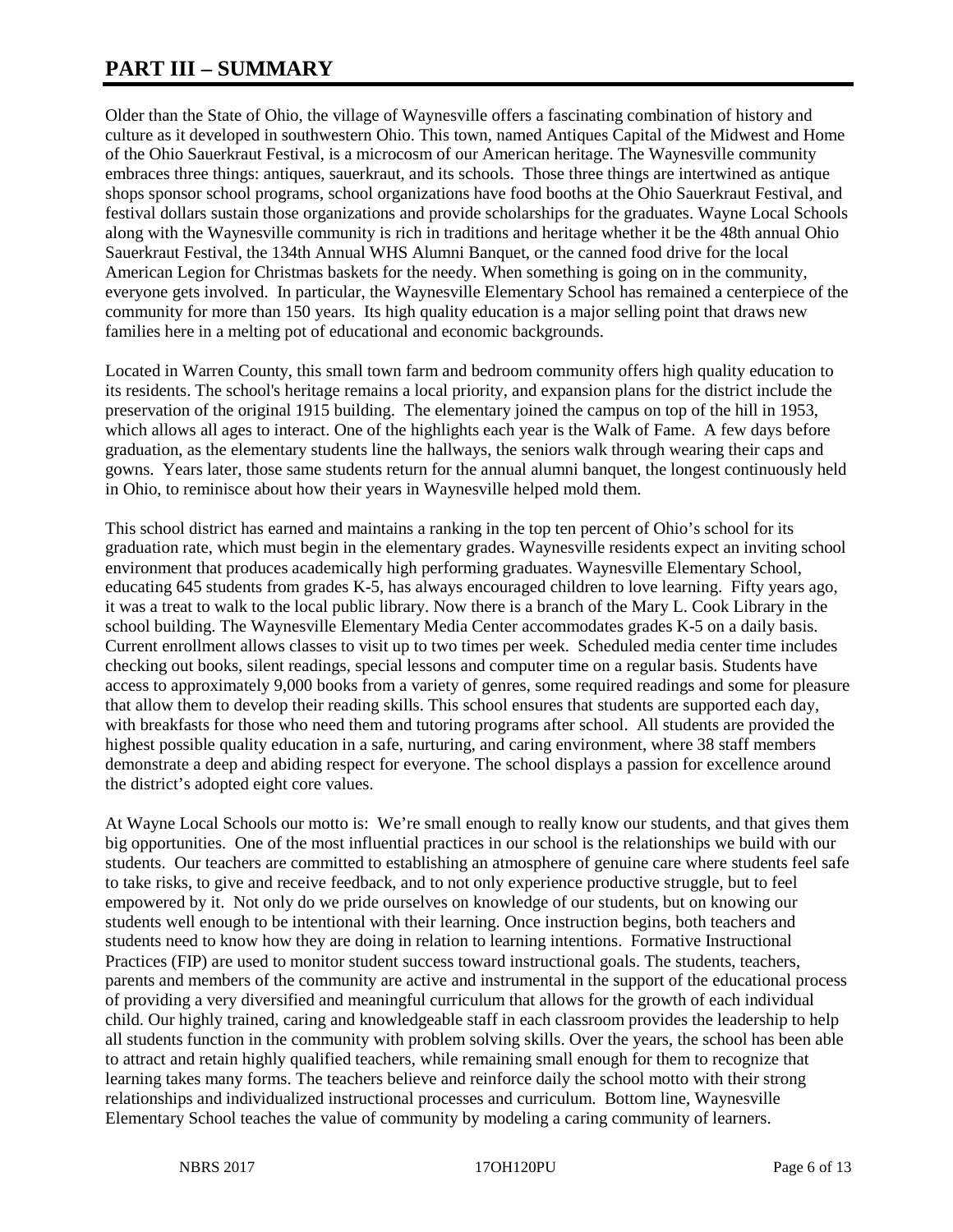# **PART III – SUMMARY**

Older than the State of Ohio, the village of Waynesville offers a fascinating combination of history and culture as it developed in southwestern Ohio. This town, named Antiques Capital of the Midwest and Home of the Ohio Sauerkraut Festival, is a microcosm of our American heritage. The Waynesville community embraces three things: antiques, sauerkraut, and its schools. Those three things are intertwined as antique shops sponsor school programs, school organizations have food booths at the Ohio Sauerkraut Festival, and festival dollars sustain those organizations and provide scholarships for the graduates. Wayne Local Schools along with the Waynesville community is rich in traditions and heritage whether it be the 48th annual Ohio Sauerkraut Festival, the 134th Annual WHS Alumni Banquet, or the canned food drive for the local American Legion for Christmas baskets for the needy. When something is going on in the community, everyone gets involved. In particular, the Waynesville Elementary School has remained a centerpiece of the community for more than 150 years. Its high quality education is a major selling point that draws new families here in a melting pot of educational and economic backgrounds.

Located in Warren County, this small town farm and bedroom community offers high quality education to its residents. The school's heritage remains a local priority, and expansion plans for the district include the preservation of the original 1915 building. The elementary joined the campus on top of the hill in 1953, which allows all ages to interact. One of the highlights each year is the Walk of Fame. A few days before graduation, as the elementary students line the hallways, the seniors walk through wearing their caps and gowns. Years later, those same students return for the annual alumni banquet, the longest continuously held in Ohio, to reminisce about how their years in Waynesville helped mold them.

This school district has earned and maintains a ranking in the top ten percent of Ohio's school for its graduation rate, which must begin in the elementary grades. Waynesville residents expect an inviting school environment that produces academically high performing graduates. Waynesville Elementary School, educating 645 students from grades K-5, has always encouraged children to love learning. Fifty years ago, it was a treat to walk to the local public library. Now there is a branch of the Mary L. Cook Library in the school building. The Waynesville Elementary Media Center accommodates grades K-5 on a daily basis. Current enrollment allows classes to visit up to two times per week. Scheduled media center time includes checking out books, silent readings, special lessons and computer time on a regular basis. Students have access to approximately 9,000 books from a variety of genres, some required readings and some for pleasure that allow them to develop their reading skills. This school ensures that students are supported each day, with breakfasts for those who need them and tutoring programs after school. All students are provided the highest possible quality education in a safe, nurturing, and caring environment, where 38 staff members demonstrate a deep and abiding respect for everyone. The school displays a passion for excellence around the district's adopted eight core values.

At Wayne Local Schools our motto is: We're small enough to really know our students, and that gives them big opportunities. One of the most influential practices in our school is the relationships we build with our students. Our teachers are committed to establishing an atmosphere of genuine care where students feel safe to take risks, to give and receive feedback, and to not only experience productive struggle, but to feel empowered by it. Not only do we pride ourselves on knowledge of our students, but on knowing our students well enough to be intentional with their learning. Once instruction begins, both teachers and students need to know how they are doing in relation to learning intentions. Formative Instructional Practices (FIP) are used to monitor student success toward instructional goals. The students, teachers, parents and members of the community are active and instrumental in the support of the educational process of providing a very diversified and meaningful curriculum that allows for the growth of each individual child. Our highly trained, caring and knowledgeable staff in each classroom provides the leadership to help all students function in the community with problem solving skills. Over the years, the school has been able to attract and retain highly qualified teachers, while remaining small enough for them to recognize that learning takes many forms. The teachers believe and reinforce daily the school motto with their strong relationships and individualized instructional processes and curriculum. Bottom line, Waynesville Elementary School teaches the value of community by modeling a caring community of learners.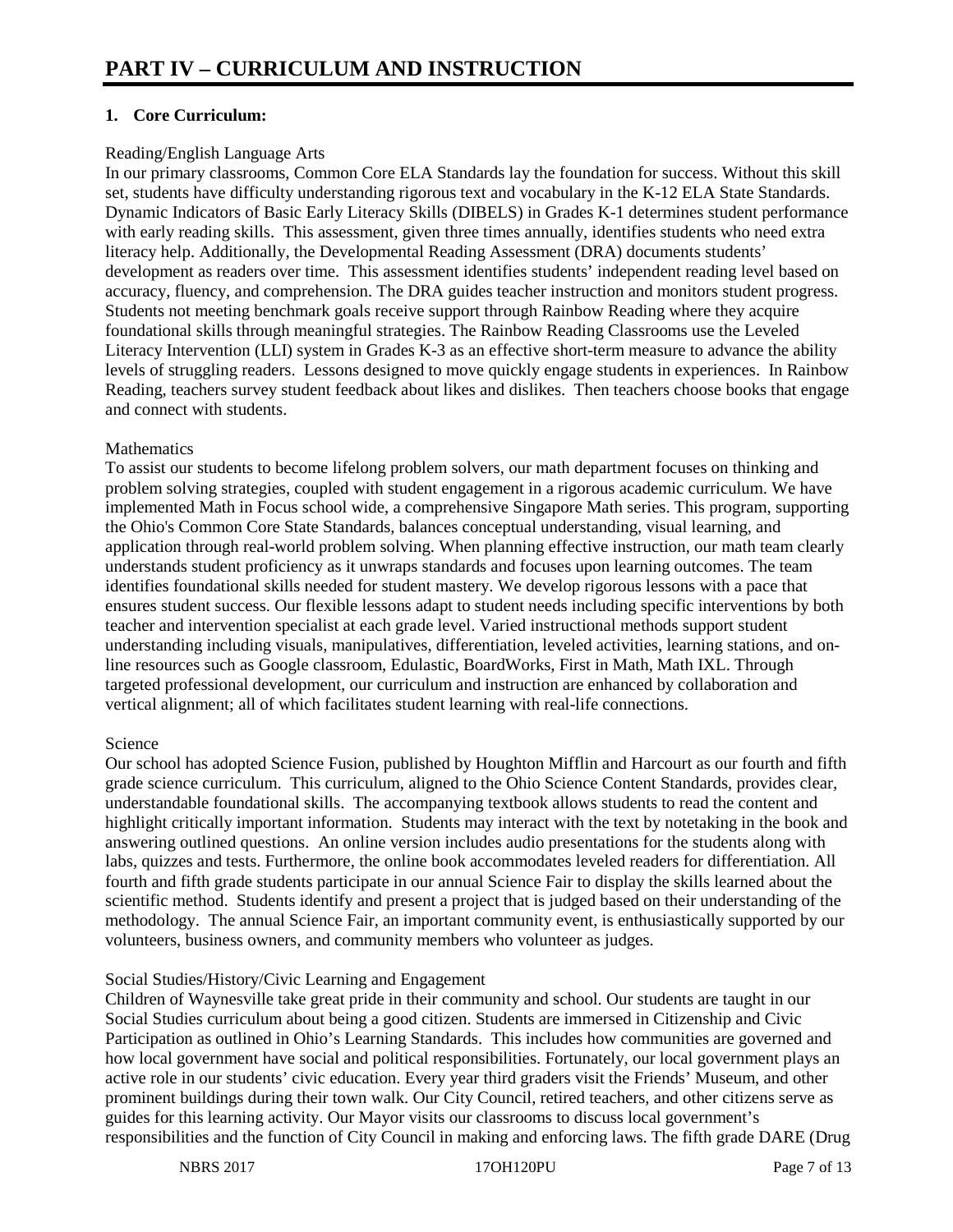# **1. Core Curriculum:**

# Reading/English Language Arts

In our primary classrooms, Common Core ELA Standards lay the foundation for success. Without this skill set, students have difficulty understanding rigorous text and vocabulary in the K-12 ELA State Standards. Dynamic Indicators of Basic Early Literacy Skills (DIBELS) in Grades K-1 determines student performance with early reading skills. This assessment, given three times annually, identifies students who need extra literacy help. Additionally, the Developmental Reading Assessment (DRA) documents students' development as readers over time. This assessment identifies students' independent reading level based on accuracy, fluency, and comprehension. The DRA guides teacher instruction and monitors student progress. Students not meeting benchmark goals receive support through Rainbow Reading where they acquire foundational skills through meaningful strategies. The Rainbow Reading Classrooms use the Leveled Literacy Intervention (LLI) system in Grades K-3 as an effective short-term measure to advance the ability levels of struggling readers. Lessons designed to move quickly engage students in experiences. In Rainbow Reading, teachers survey student feedback about likes and dislikes. Then teachers choose books that engage and connect with students.

# **Mathematics**

To assist our students to become lifelong problem solvers, our math department focuses on thinking and problem solving strategies, coupled with student engagement in a rigorous academic curriculum. We have implemented Math in Focus school wide, a comprehensive Singapore Math series. This program, supporting the Ohio's Common Core State Standards, balances conceptual understanding, visual learning, and application through real-world problem solving. When planning effective instruction, our math team clearly understands student proficiency as it unwraps standards and focuses upon learning outcomes. The team identifies foundational skills needed for student mastery. We develop rigorous lessons with a pace that ensures student success. Our flexible lessons adapt to student needs including specific interventions by both teacher and intervention specialist at each grade level. Varied instructional methods support student understanding including visuals, manipulatives, differentiation, leveled activities, learning stations, and online resources such as Google classroom, Edulastic, BoardWorks, First in Math, Math IXL. Through targeted professional development, our curriculum and instruction are enhanced by collaboration and vertical alignment; all of which facilitates student learning with real-life connections.

# Science

Our school has adopted Science Fusion, published by Houghton Mifflin and Harcourt as our fourth and fifth grade science curriculum. This curriculum, aligned to the Ohio Science Content Standards, provides clear, understandable foundational skills. The accompanying textbook allows students to read the content and highlight critically important information. Students may interact with the text by notetaking in the book and answering outlined questions. An online version includes audio presentations for the students along with labs, quizzes and tests. Furthermore, the online book accommodates leveled readers for differentiation. All fourth and fifth grade students participate in our annual Science Fair to display the skills learned about the scientific method. Students identify and present a project that is judged based on their understanding of the methodology. The annual Science Fair, an important community event, is enthusiastically supported by our volunteers, business owners, and community members who volunteer as judges.

# Social Studies/History/Civic Learning and Engagement

Children of Waynesville take great pride in their community and school. Our students are taught in our Social Studies curriculum about being a good citizen. Students are immersed in Citizenship and Civic Participation as outlined in Ohio's Learning Standards. This includes how communities are governed and how local government have social and political responsibilities. Fortunately, our local government plays an active role in our students' civic education. Every year third graders visit the Friends' Museum, and other prominent buildings during their town walk. Our City Council, retired teachers, and other citizens serve as guides for this learning activity. Our Mayor visits our classrooms to discuss local government's responsibilities and the function of City Council in making and enforcing laws. The fifth grade DARE (Drug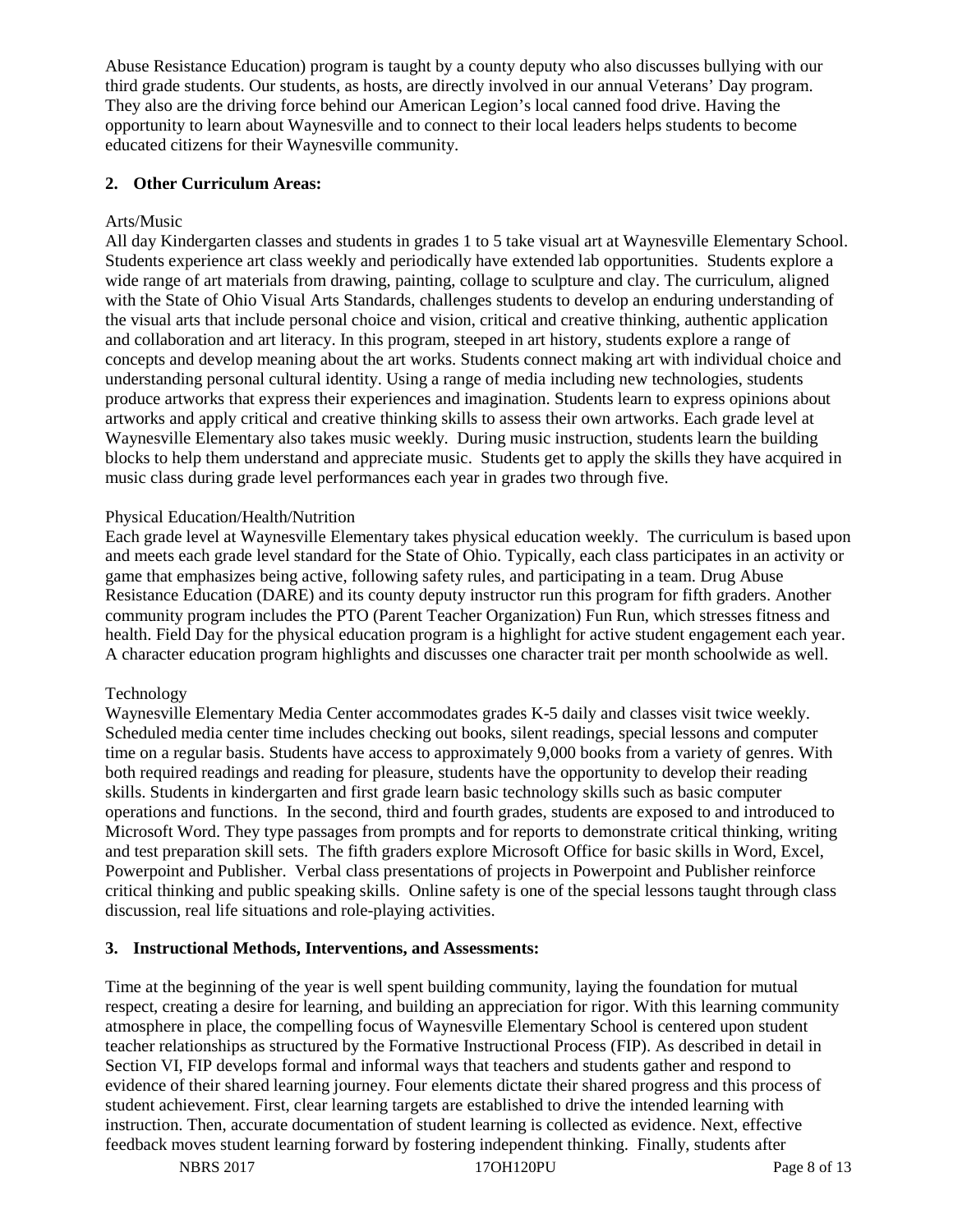Abuse Resistance Education) program is taught by a county deputy who also discusses bullying with our third grade students. Our students, as hosts, are directly involved in our annual Veterans' Day program. They also are the driving force behind our American Legion's local canned food drive. Having the opportunity to learn about Waynesville and to connect to their local leaders helps students to become educated citizens for their Waynesville community.

# **2. Other Curriculum Areas:**

# Arts/Music

All day Kindergarten classes and students in grades 1 to 5 take visual art at Waynesville Elementary School. Students experience art class weekly and periodically have extended lab opportunities. Students explore a wide range of art materials from drawing, painting, collage to sculpture and clay. The curriculum, aligned with the State of Ohio Visual Arts Standards, challenges students to develop an enduring understanding of the visual arts that include personal choice and vision, critical and creative thinking, authentic application and collaboration and art literacy. In this program, steeped in art history, students explore a range of concepts and develop meaning about the art works. Students connect making art with individual choice and understanding personal cultural identity. Using a range of media including new technologies, students produce artworks that express their experiences and imagination. Students learn to express opinions about artworks and apply critical and creative thinking skills to assess their own artworks. Each grade level at Waynesville Elementary also takes music weekly. During music instruction, students learn the building blocks to help them understand and appreciate music. Students get to apply the skills they have acquired in music class during grade level performances each year in grades two through five.

# Physical Education/Health/Nutrition

Each grade level at Waynesville Elementary takes physical education weekly. The curriculum is based upon and meets each grade level standard for the State of Ohio. Typically, each class participates in an activity or game that emphasizes being active, following safety rules, and participating in a team. Drug Abuse Resistance Education (DARE) and its county deputy instructor run this program for fifth graders. Another community program includes the PTO (Parent Teacher Organization) Fun Run, which stresses fitness and health. Field Day for the physical education program is a highlight for active student engagement each year. A character education program highlights and discusses one character trait per month schoolwide as well.

# Technology

Waynesville Elementary Media Center accommodates grades K-5 daily and classes visit twice weekly. Scheduled media center time includes checking out books, silent readings, special lessons and computer time on a regular basis. Students have access to approximately 9,000 books from a variety of genres. With both required readings and reading for pleasure, students have the opportunity to develop their reading skills. Students in kindergarten and first grade learn basic technology skills such as basic computer operations and functions. In the second, third and fourth grades, students are exposed to and introduced to Microsoft Word. They type passages from prompts and for reports to demonstrate critical thinking, writing and test preparation skill sets. The fifth graders explore Microsoft Office for basic skills in Word, Excel, Powerpoint and Publisher. Verbal class presentations of projects in Powerpoint and Publisher reinforce critical thinking and public speaking skills. Online safety is one of the special lessons taught through class discussion, real life situations and role-playing activities.

# **3. Instructional Methods, Interventions, and Assessments:**

Time at the beginning of the year is well spent building community, laying the foundation for mutual respect, creating a desire for learning, and building an appreciation for rigor. With this learning community atmosphere in place, the compelling focus of Waynesville Elementary School is centered upon student teacher relationships as structured by the Formative Instructional Process (FIP). As described in detail in Section VI, FIP develops formal and informal ways that teachers and students gather and respond to evidence of their shared learning journey. Four elements dictate their shared progress and this process of student achievement. First, clear learning targets are established to drive the intended learning with instruction. Then, accurate documentation of student learning is collected as evidence. Next, effective feedback moves student learning forward by fostering independent thinking. Finally, students after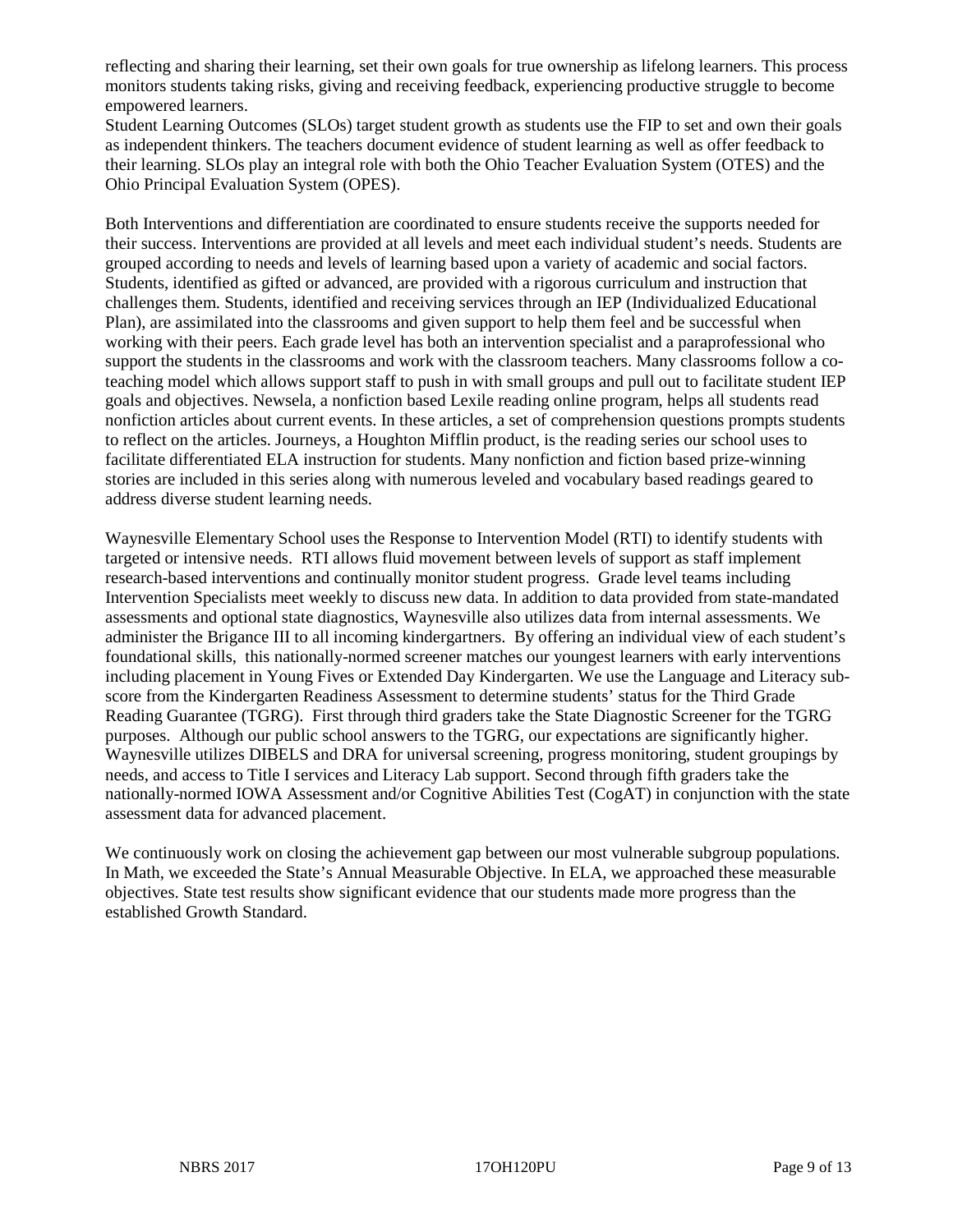reflecting and sharing their learning, set their own goals for true ownership as lifelong learners. This process monitors students taking risks, giving and receiving feedback, experiencing productive struggle to become empowered learners.

Student Learning Outcomes (SLOs) target student growth as students use the FIP to set and own their goals as independent thinkers. The teachers document evidence of student learning as well as offer feedback to their learning. SLOs play an integral role with both the Ohio Teacher Evaluation System (OTES) and the Ohio Principal Evaluation System (OPES).

Both Interventions and differentiation are coordinated to ensure students receive the supports needed for their success. Interventions are provided at all levels and meet each individual student's needs. Students are grouped according to needs and levels of learning based upon a variety of academic and social factors. Students, identified as gifted or advanced, are provided with a rigorous curriculum and instruction that challenges them. Students, identified and receiving services through an IEP (Individualized Educational Plan), are assimilated into the classrooms and given support to help them feel and be successful when working with their peers. Each grade level has both an intervention specialist and a paraprofessional who support the students in the classrooms and work with the classroom teachers. Many classrooms follow a coteaching model which allows support staff to push in with small groups and pull out to facilitate student IEP goals and objectives. Newsela, a nonfiction based Lexile reading online program, helps all students read nonfiction articles about current events. In these articles, a set of comprehension questions prompts students to reflect on the articles. Journeys, a Houghton Mifflin product, is the reading series our school uses to facilitate differentiated ELA instruction for students. Many nonfiction and fiction based prize-winning stories are included in this series along with numerous leveled and vocabulary based readings geared to address diverse student learning needs.

Waynesville Elementary School uses the Response to Intervention Model (RTI) to identify students with targeted or intensive needs. RTI allows fluid movement between levels of support as staff implement research-based interventions and continually monitor student progress. Grade level teams including Intervention Specialists meet weekly to discuss new data. In addition to data provided from state-mandated assessments and optional state diagnostics, Waynesville also utilizes data from internal assessments. We administer the Brigance III to all incoming kindergartners. By offering an individual view of each student's foundational skills, this nationally-normed screener matches our youngest learners with early interventions including placement in Young Fives or Extended Day Kindergarten. We use the Language and Literacy subscore from the Kindergarten Readiness Assessment to determine students' status for the Third Grade Reading Guarantee (TGRG). First through third graders take the State Diagnostic Screener for the TGRG purposes. Although our public school answers to the TGRG, our expectations are significantly higher. Waynesville utilizes DIBELS and DRA for universal screening, progress monitoring, student groupings by needs, and access to Title I services and Literacy Lab support. Second through fifth graders take the nationally-normed IOWA Assessment and/or Cognitive Abilities Test (CogAT) in conjunction with the state assessment data for advanced placement.

We continuously work on closing the achievement gap between our most vulnerable subgroup populations. In Math, we exceeded the State's Annual Measurable Objective. In ELA, we approached these measurable objectives. State test results show significant evidence that our students made more progress than the established Growth Standard.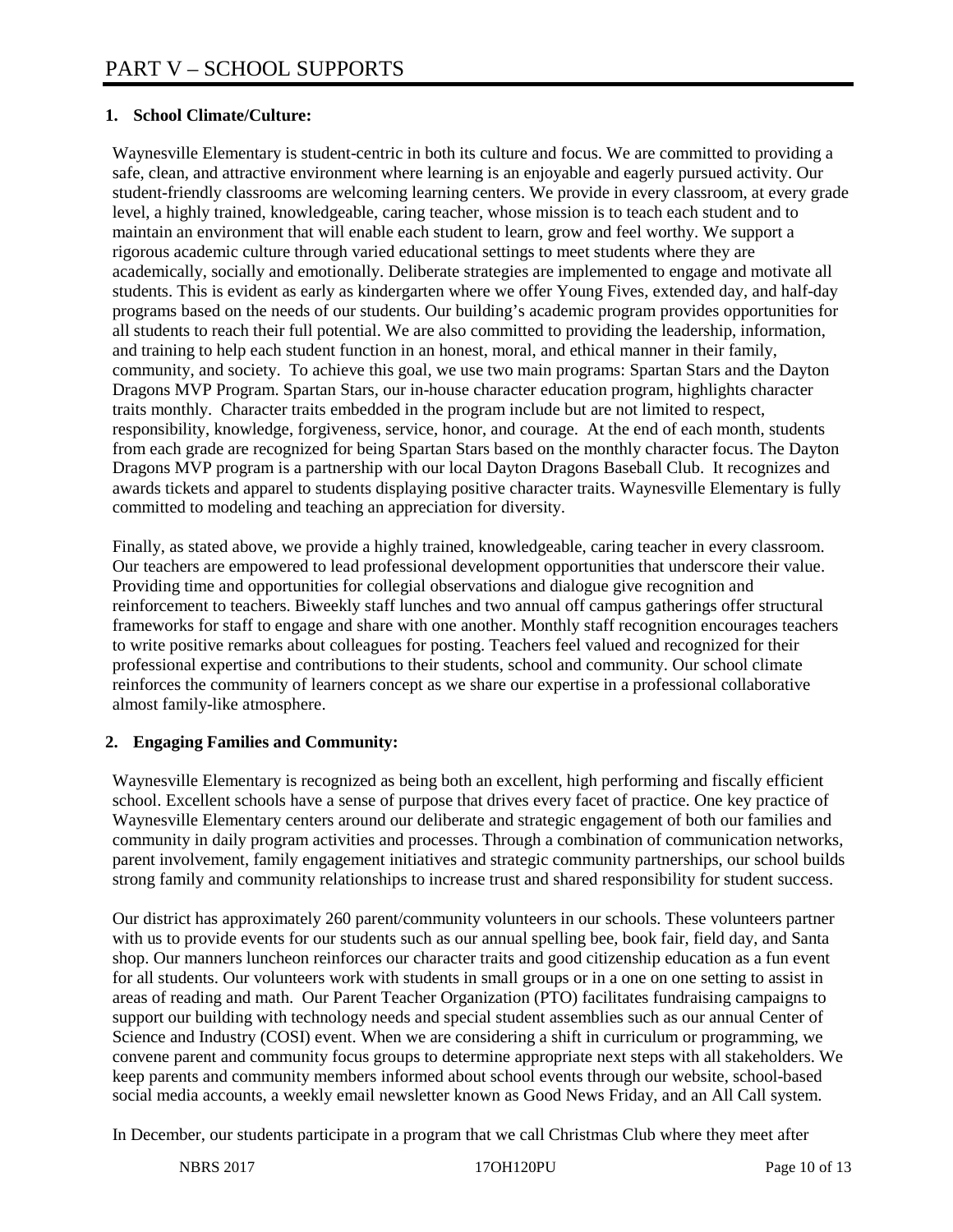# **1. School Climate/Culture:**

Waynesville Elementary is student-centric in both its culture and focus. We are committed to providing a safe, clean, and attractive environment where learning is an enjoyable and eagerly pursued activity. Our student-friendly classrooms are welcoming learning centers. We provide in every classroom, at every grade level, a highly trained, knowledgeable, caring teacher, whose mission is to teach each student and to maintain an environment that will enable each student to learn, grow and feel worthy. We support a rigorous academic culture through varied educational settings to meet students where they are academically, socially and emotionally. Deliberate strategies are implemented to engage and motivate all students. This is evident as early as kindergarten where we offer Young Fives, extended day, and half-day programs based on the needs of our students. Our building's academic program provides opportunities for all students to reach their full potential. We are also committed to providing the leadership, information, and training to help each student function in an honest, moral, and ethical manner in their family, community, and society. To achieve this goal, we use two main programs: Spartan Stars and the Dayton Dragons MVP Program. Spartan Stars, our in-house character education program, highlights character traits monthly. Character traits embedded in the program include but are not limited to respect, responsibility, knowledge, forgiveness, service, honor, and courage. At the end of each month, students from each grade are recognized for being Spartan Stars based on the monthly character focus. The Dayton Dragons MVP program is a partnership with our local Dayton Dragons Baseball Club. It recognizes and awards tickets and apparel to students displaying positive character traits. Waynesville Elementary is fully committed to modeling and teaching an appreciation for diversity.

Finally, as stated above, we provide a highly trained, knowledgeable, caring teacher in every classroom. Our teachers are empowered to lead professional development opportunities that underscore their value. Providing time and opportunities for collegial observations and dialogue give recognition and reinforcement to teachers. Biweekly staff lunches and two annual off campus gatherings offer structural frameworks for staff to engage and share with one another. Monthly staff recognition encourages teachers to write positive remarks about colleagues for posting. Teachers feel valued and recognized for their professional expertise and contributions to their students, school and community. Our school climate reinforces the community of learners concept as we share our expertise in a professional collaborative almost family-like atmosphere.

# **2. Engaging Families and Community:**

Waynesville Elementary is recognized as being both an excellent, high performing and fiscally efficient school. Excellent schools have a sense of purpose that drives every facet of practice. One key practice of Waynesville Elementary centers around our deliberate and strategic engagement of both our families and community in daily program activities and processes. Through a combination of communication networks, parent involvement, family engagement initiatives and strategic community partnerships, our school builds strong family and community relationships to increase trust and shared responsibility for student success.

Our district has approximately 260 parent/community volunteers in our schools. These volunteers partner with us to provide events for our students such as our annual spelling bee, book fair, field day, and Santa shop. Our manners luncheon reinforces our character traits and good citizenship education as a fun event for all students. Our volunteers work with students in small groups or in a one on one setting to assist in areas of reading and math. Our Parent Teacher Organization (PTO) facilitates fundraising campaigns to support our building with technology needs and special student assemblies such as our annual Center of Science and Industry (COSI) event. When we are considering a shift in curriculum or programming, we convene parent and community focus groups to determine appropriate next steps with all stakeholders. We keep parents and community members informed about school events through our website, school-based social media accounts, a weekly email newsletter known as Good News Friday, and an All Call system.

In December, our students participate in a program that we call Christmas Club where they meet after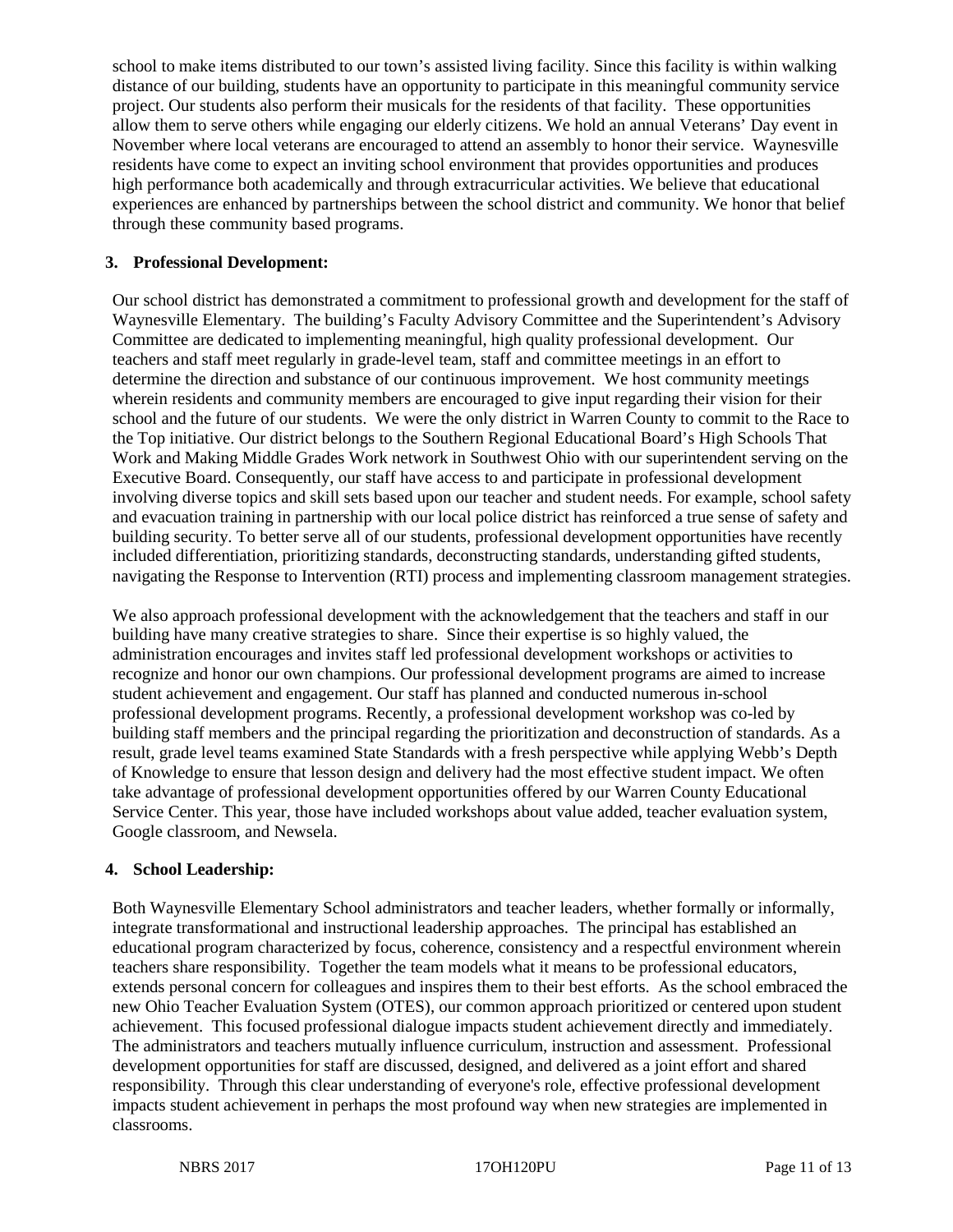school to make items distributed to our town's assisted living facility. Since this facility is within walking distance of our building, students have an opportunity to participate in this meaningful community service project. Our students also perform their musicals for the residents of that facility. These opportunities allow them to serve others while engaging our elderly citizens. We hold an annual Veterans' Day event in November where local veterans are encouraged to attend an assembly to honor their service. Waynesville residents have come to expect an inviting school environment that provides opportunities and produces high performance both academically and through extracurricular activities. We believe that educational experiences are enhanced by partnerships between the school district and community. We honor that belief through these community based programs.

# **3. Professional Development:**

Our school district has demonstrated a commitment to professional growth and development for the staff of Waynesville Elementary. The building's Faculty Advisory Committee and the Superintendent's Advisory Committee are dedicated to implementing meaningful, high quality professional development. Our teachers and staff meet regularly in grade-level team, staff and committee meetings in an effort to determine the direction and substance of our continuous improvement. We host community meetings wherein residents and community members are encouraged to give input regarding their vision for their school and the future of our students. We were the only district in Warren County to commit to the Race to the Top initiative. Our district belongs to the Southern Regional Educational Board's High Schools That Work and Making Middle Grades Work network in Southwest Ohio with our superintendent serving on the Executive Board. Consequently, our staff have access to and participate in professional development involving diverse topics and skill sets based upon our teacher and student needs. For example, school safety and evacuation training in partnership with our local police district has reinforced a true sense of safety and building security. To better serve all of our students, professional development opportunities have recently included differentiation, prioritizing standards, deconstructing standards, understanding gifted students, navigating the Response to Intervention (RTI) process and implementing classroom management strategies.

We also approach professional development with the acknowledgement that the teachers and staff in our building have many creative strategies to share. Since their expertise is so highly valued, the administration encourages and invites staff led professional development workshops or activities to recognize and honor our own champions. Our professional development programs are aimed to increase student achievement and engagement. Our staff has planned and conducted numerous in-school professional development programs. Recently, a professional development workshop was co-led by building staff members and the principal regarding the prioritization and deconstruction of standards. As a result, grade level teams examined State Standards with a fresh perspective while applying Webb's Depth of Knowledge to ensure that lesson design and delivery had the most effective student impact. We often take advantage of professional development opportunities offered by our Warren County Educational Service Center. This year, those have included workshops about value added, teacher evaluation system, Google classroom, and Newsela.

# **4. School Leadership:**

Both Waynesville Elementary School administrators and teacher leaders, whether formally or informally, integrate transformational and instructional leadership approaches. The principal has established an educational program characterized by focus, coherence, consistency and a respectful environment wherein teachers share responsibility. Together the team models what it means to be professional educators, extends personal concern for colleagues and inspires them to their best efforts. As the school embraced the new Ohio Teacher Evaluation System (OTES), our common approach prioritized or centered upon student achievement. This focused professional dialogue impacts student achievement directly and immediately. The administrators and teachers mutually influence curriculum, instruction and assessment. Professional development opportunities for staff are discussed, designed, and delivered as a joint effort and shared responsibility. Through this clear understanding of everyone's role, effective professional development impacts student achievement in perhaps the most profound way when new strategies are implemented in classrooms.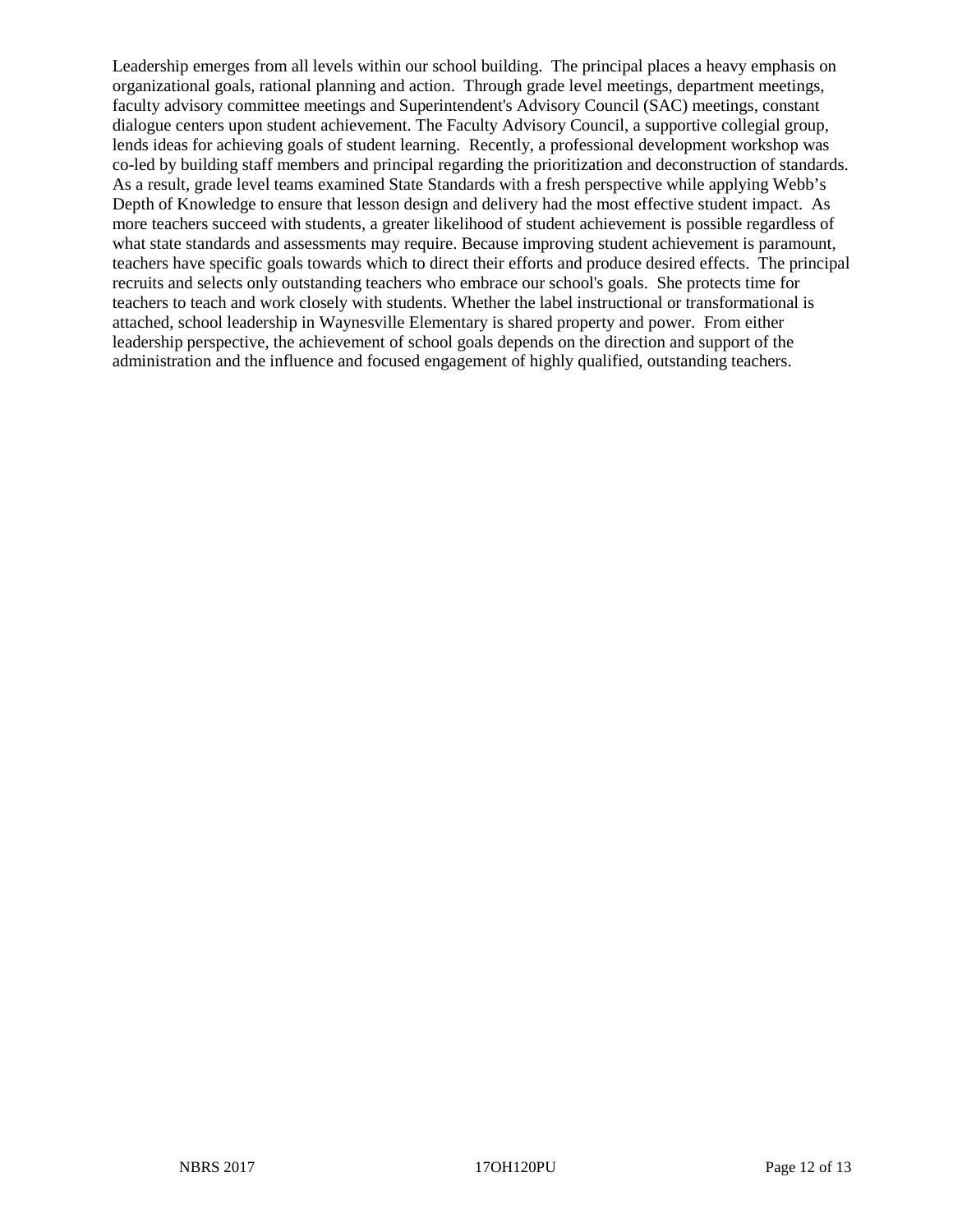Leadership emerges from all levels within our school building. The principal places a heavy emphasis on organizational goals, rational planning and action. Through grade level meetings, department meetings, faculty advisory committee meetings and Superintendent's Advisory Council (SAC) meetings, constant dialogue centers upon student achievement. The Faculty Advisory Council, a supportive collegial group, lends ideas for achieving goals of student learning. Recently, a professional development workshop was co-led by building staff members and principal regarding the prioritization and deconstruction of standards. As a result, grade level teams examined State Standards with a fresh perspective while applying Webb's Depth of Knowledge to ensure that lesson design and delivery had the most effective student impact. As more teachers succeed with students, a greater likelihood of student achievement is possible regardless of what state standards and assessments may require. Because improving student achievement is paramount, teachers have specific goals towards which to direct their efforts and produce desired effects. The principal recruits and selects only outstanding teachers who embrace our school's goals. She protects time for teachers to teach and work closely with students. Whether the label instructional or transformational is attached, school leadership in Waynesville Elementary is shared property and power. From either leadership perspective, the achievement of school goals depends on the direction and support of the administration and the influence and focused engagement of highly qualified, outstanding teachers.